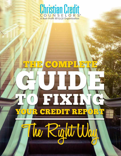

血血

0

# FIXTI. R  $\overline{0}$

<u> Albanya a Manazarta (Alb</u>

Right Wo

**Manufacture Manufacturers Ave** 

Þ

₿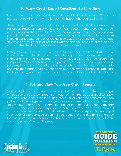#### **So Many Credit Report Questions, So Little Time**

How do I view my credit report? Wait…I have THREE credit reports? Where do they come from? What information do they have? Who can see them?

These are great questions about credit reports and they will all be answered in this eBook. However, possibly one of the most frequently-asked questions about a credit report is "how can I fix it?" Many people know that a credit report is important, but they don't know how information is reported or how to fix or improve it. This eBook is designed to give you not only a step-by-step guide to "fixing" possible errors on your credit report, but it will also give you useful resources to help you build healthy financial habits to improve your credit.

It may be difficult to find the time to learn about your credit report when most of your time and attention is occupied with trying to stay above water with your finances or with other life events. That is why this eBook will give you researched, compact tools to teach you how to pull and view your free credit reports, dispute any inaccurate information, learn your rights as a citizen, as well as create and monitor a budget to pay your debts and achieve your financial goals. Use this book as a guide and resource to start your path to financial freedom today!

## **1. Pull and View Your Free Credit Reports**

Start out by logging onto www.annualcreditreport.com. At this site, you can get a free copy of your credit report from each of the three bureaus (Equifax, Experian, and TransUnion). Start by pulling one or all of your credit reports. You can pull each of them together once a year or spread them out throughout the year. They will most likely have the same items listed on them but if a company only reports to one bureau you may notice a collection account, utility bill, medical account, or something of that nature listed on only one report. Once you pull your report(s) you can save a copy to your computer and also print out a copy for other purposes. You can request that only the last 4 digits of your social security number be printed on the report.



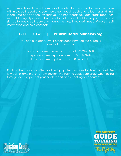As you may have learned from our other eBooks, there are four main sections within a credit report and you should go through each one to look for anything inaccurate or any accounts that you do not recognize. Each credit report format will be slightly different but the information should all be very similar. Do not sign up for free credit score and monitoring sites. If you are in need of more credit information and help contact:

## **1.800.557.1985 | ChristianCreditCounselors.org**

You can also access your credit reports through the bureaus individually as needed.

TransUnion - www.transunion.com - 1.800.916.8800 Experian - www.experian.com - 1.888.397.3742 Equifax - www.equifax.com - 1.800.685.1111

Each of the above websites has training guides available to view and print. Below is an example of one from Equifax. The training guides are useful when going through each aspect of your credit report and checking for accuracy.



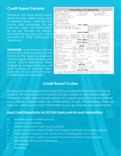#### **Credit Report Sample:**

\*Retrieve your most recent statements for any credit cards, auto or personal loans, collection accounts, and mortgages. This will help you verify your information as you go through the reports. You can also log onto your online accounts to verify information if necessary!

**REMEMBER:** Most lenders only report to the credit bureaus once a month so the reported balances may be slightly different than your actual current balances. When looking for discrepancies, you will want to focus on incorrect delinquencies on accounts and inaccurate personal information.

| A> PAGE 1 DATE 9-11-2000 TIME 18:52:49 PRITY V701 BAZI                                                                                                                                                                                                                                                                                                                                                                                     |                  |                 |
|--------------------------------------------------------------------------------------------------------------------------------------------------------------------------------------------------------------------------------------------------------------------------------------------------------------------------------------------------------------------------------------------------------------------------------------------|------------------|-----------------|
| ROBERT BRYAN MUSTARD 53: 8/8-99-4588 E: AUTO CENTRAL 4589 SN ERANGLESCO (1915)<br>OARLAND CA 9/455-1588 (1926-22-5885* SAN FRAMCLESCO (1970) CARLAND CA 9/45-1588 (1985-22-5885* SAN FRAMCLESCO (1970) C<br>LAST SUB: 658777731X48<br>9906 BOUNTIFUL AVE<br>ATTAWANDA WA 98555<br>RPTD: 9-96 TO 3-98                                                                                                                                       |                  |                 |
| ROBERT BRYAN RETCHUP                                                                                                                                                                                                                                                                                                                                                                                                                       |                  |                 |
| ROBERT BRYAN REICHUP<br><mark>B&gt; --------------------------- FACS+ SUMMAR</mark> Y -----                                                                                                                                                                                                                                                                                                                                                |                  |                 |
| BALLA FALLS TREE TREE TREE TREE TREE TREE TRANSPORT SERVICE:<br>FROM 6-01-00 INQ COUNT FOR SSN-5<br>FROM 6-01-00 INQ COUNT FOR SSN-5<br>FROM 6-01-00 INQ COUNT FOR ADDRESS-0<br>1985 BALLACE AND A RIGHT<br>510.555.1212<br><b>PROFILE SUMMARY</b>                                                                                                                                                                                         | OAKLAND CA 97455 |                 |
|                                                                                                                                                                                                                                                                                                                                                                                                                                            |                  | CNT 01/80/08/81 |
| PUBLIC RECORDS----1 PAST DUE AMT------ \$21 INQUIRIES--- 6 SATIS ACCTS--- 8<br>INSTALL BAL-\$19,217 SCH/EST PAY------ \$677+ INQS/6 MO--- 4 NOW DEL/DRG--- 3<br>R ESTATE BAL----N/A R ESTATE PAY------N/A TRADELINE--10 WAS DEL/DRG---2<br>TOT REV BAL \$8,520 TOT REV AVAIL----10% PAID ACCT---2 OLD TRADE--8-77<br>PEAR MATIONAL BISK SCORE SUMMARY SCORE SUMMARY<br>EXAMPLE THE RECORD SCORE FACTORS: 10, 20, 31, 12<br>EXAMPLE RECORDS |                  |                 |
|                                                                                                                                                                                                                                                                                                                                                                                                                                            |                  |                 |
|                                                                                                                                                                                                                                                                                                                                                                                                                                            |                  |                 |
| PERRIS MUNICIPAL COUR 1-12-99 5-7-99 39938542 \$28,040 CIV CL JUDG P. PEC41114 2 PLAINTIFF; JUNKY AUTO REPAIR                                                                                                                                                                                                                                                                                                                              |                  |                 |
| SUB+ KOB TYP TRM ECOA BALDATE BALANCE PYMT LEVEL MOS REV PMT HISTORY<br>ACCOUNT # LAST PD MONTH PAY PAST DUE MAXIMUM BY MONTH                                                                                                                                                                                                                                                                                                              |                  |                 |
|                                                                                                                                                                                                                                                                                                                                                                                                                                            |                  |                 |
| 195568566498                                                                                                                                                                                                                                                                                                                                                                                                                               |                  |                 |
| ORIGINAL CREDITOR: DO IT YOURSELF SURGERY CEN                                                                                                                                                                                                                                                                                                                                                                                              |                  |                 |
|                                                                                                                                                                                                                                                                                                                                                                                                                                            |                  |                 |
|                                                                                                                                                                                                                                                                                                                                                                                                                                            |                  |                 |
| CHEATUM INSURANCE. 7-20-00 69065888 IG INS                                                                                                                                                                                                                                                                                                                                                                                                 |                  |                 |
| STILL RUNNIN HONDA 5-16-99 79645558 AN UNK AUT<br>HORIZON WIRELESS 1-12-99 39978542 UW UTI                                                                                                                                                                                                                                                                                                                                                 |                  |                 |
|                                                                                                                                                                                                                                                                                                                                                                                                                                            |                  |                 |
| ---------------------------- END XPN REPORT---                                                                                                                                                                                                                                                                                                                                                                                             |                  |                 |

#### **Credit Report Codes**

The Equal Credit Opportunity Act (ECOA) is a United States law which was enacted in 1974 stating that it is unlawful for any creditor to discriminate against an applicant with respect to any aspect of a credit transaction, on the basis of race, religion, national origin, sex, marital status, or age. The following codes will help you verify your account information as you go through your credit report.

#### **Equal Credit Opportunity Act (ECOA) Inquiry and Account Designations:**

- A: Authorized user of shared account
- C: Joint contractual liability
- I: Individual account for sole use of customer
- M: Account for which subject is liable, but co-signer has liability if the maker defaults
- P: Participant in shared account which cannot be distinguished as C or A
- S: Account for which subject is co-signer and becomes liable if maker defaults
- T: Relationship with account terminated
- U: Undersigned
- X: Deceased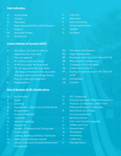#### **Date Indicators:**

- A: Automated
- C: Closed
- D: Declined
- F: Repossessed/Written Off/Collection
- I: Indirect
- M: Manually Frozen
- N: No Record

#### **Current Manner of Payment (MOP)**

- 0: Not rated, too new to rate, or approved but not used
- 1: Pays as agreed
- 2: 30-59 days past due date
- 3: 60-89 days past the due date
- 4: 90-119 days past the due date
- 5: 120 days or more past the due date
- 7: Paying or paid under Wage Earner Plan or similar arrangement
- 8: Repossession

#### **Kind of Business (KOB) Classifications**

- A: Automotive
- B: Banks
- C: Clothing
- D: Department, Variety and Other Retail
- E: Employment
- F: Finance, Personal
- G: Groceries
- H: Home Furnishings
- I: Insurance
- J: Jewelry, Cameras and Computers
- K: Contractors
- L: Lumber, Building Material, Hardware
- M: Medical and Related Health
- N: Credit Card and Travel/Entertainment **Companies**
- P: Paid Out
- R: Reported
- S: Slow Answering
- T: Temporarily Frozen
- V: Verified
- X: No Reply
- 8A: Voluntary repossession
- 8D: Legal repossession
- 8P: Paying or paid account with MOP 08
- 8R: Repossession; redeemed
- 9: Charged off to bad debt
- 9B: Collection account
- 9P: Paying or paid account with MOP 09 or 9B
- UC: Unclassified
- UR: Unrated
- O: Oil Companies
- P: Personal Services Other Than Medical
- Q: Finance, Companies, Other Than Personal Finance Companies
- R: Real Estate and Public Accommodations
- S: Sporting Goods
- T: Farm and Garden Supplies
- U: Utilities and Fuel
- V: Government
- W: Wholesale
- X: Advertising
- Y: Collection
- Z: Miscellaneous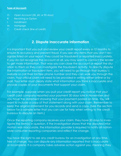#### **Type of Account:**

- O: Open Account (30, 60, or 90 days)
- R: Revolving or Option
- I: Installment
- M: Mortgage
- C: Credit check (line of credit)

#### **2. Dispute Inaccurate Information**

It is important that you pull and review your credit report every 6-12 months to ensure its accuracy and prevent fraud. If you see any items that you don't recognize listed on your report, they could be fraudulent or reported inaccurately. If you do not recognize the account at all, you may want to contact the lender to get more information. That way you can close the account or report the situation to them so they can investigate the fraudulent activity. To directly dispute the information or fraudulent item, you will need to go through that bureau's website or call their toll free phone number and they can walk you through the claim. Your official claim will need to be provided in writing either online or by mail. Your letter must clearly state what information you think is inaccurate and provide copies of your documents that support your claim.

For example, suppose when you pull your credit report you notice that your credit card company reported your payment 30 days late in November and you have the statement showing that your payment posted on time. You will want to include a copy of that statement along with your claim. Remember to keep the original statement for you records and send a copy. (See the section below for a sample letter that you can use for help when writing to the credit bureaus to dispute an item.)

Once the reporting company receives your claim, they have 30 days to investigate the item(s) in question. If the investigation shows that the disputed information was inaccurate, the information provider is required to notify all nationwide consumer reporting companies and reflect the change.

You have the right to ask any credit bureau for an investigation at any time, free of charge. You can dispute any information reported that is inaccurate or incomplete. If a company takes adverse action against you, meaning they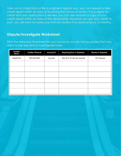take you to collections or file a judgment against you, you can request a free credit report within 60 days of receiving the notice of action. If you apply for credit and your application is denied, you can also request a copy of your credit report within 60 days of the denial letter. However you get your credit report, you will want to make sure that you review it for errors every 6-12 months.

## **Dispute/Investigate Worksheet:**

Fill in the following Worksheet for any accounts you do not recognize that may need to be disputed or investigated later:

| Creditor<br>Name: | Creditor Phone #: | Account#: | <b>Reporting Error in Question:</b> | <b>Bureau in Question:</b> |
|-------------------|-------------------|-----------|-------------------------------------|----------------------------|
| Capital One       | 800-222-8829      | XXX-XXXX  | May 2012 30 day late reported       | All 3 bureaus              |
|                   |                   |           |                                     |                            |
|                   |                   |           |                                     |                            |
|                   |                   |           |                                     |                            |
|                   |                   |           |                                     |                            |
|                   |                   |           |                                     |                            |
|                   |                   |           |                                     |                            |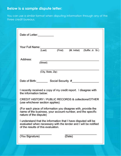## **Below is a sample dispute letter:**

You can use a similar format when disputing information through any of the three credit bureaus.

| Date of Letter:                                                                                                                                                         |  |  |  |  |  |
|-------------------------------------------------------------------------------------------------------------------------------------------------------------------------|--|--|--|--|--|
| Your Full Name:<br>(M. Initial) (Suffix: Jr. Sr.)<br>(First)<br>(Last)                                                                                                  |  |  |  |  |  |
| Address:<br>(Street)                                                                                                                                                    |  |  |  |  |  |
| (City, State, Zip)                                                                                                                                                      |  |  |  |  |  |
| Date of Birth:<br>Social Security #                                                                                                                                     |  |  |  |  |  |
| I recently received a copy of my credit report. I disagree with<br>the information below:                                                                               |  |  |  |  |  |
| CREDIT HISTORY / PUBLIC RECORDS & collections/OTHER<br>(use whichever section applies)                                                                                  |  |  |  |  |  |
| (For each piece of information you disagree with, provide the<br>name of the business, your account number, and the specific<br>nature of the dispute)                  |  |  |  |  |  |
| I understand that the information that I have disputed will be<br>evaluated when necessary with the lender and I will be notified<br>of the results of this evaluation. |  |  |  |  |  |
| (You Signature)<br>(Date)                                                                                                                                               |  |  |  |  |  |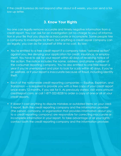If the credit bureaus do not respond after about 6-8 weeks, you can send a follow up letter.

#### **3. Know Your Rights**

No one can legally remove accurate and timely negative information from a credit report. You can ask for an investigation (at no charge to you) of information in your file that you dispute as inaccurate or incomplete. Some people hire a company to investigate for them, but anything a credit repair company can do legally, you can do for yourself at little or no cost. By law:

- You're entitled to a free credit report if a company takes "adverse action" against you, like denying your application for credit, insurance, or employment. You have to ask for your report within 60 days of receiving notice of the action. The notice includes the name, address, and phone number of the consumer reporting company. You're also entitled to one free report a year if you're unemployed and plan to look for a job within 60 days, if you're on welfare, or if your report is inaccurate because of fraud, including identity theft.
- Each of the nationwide credit reporting companies Equifax, Experian, and TransUnion — is required to provide you with a free copy of your credit report once every 12 months, if you ask for it. As previously stated, visit www.annualcreditreport.com, or call 1-877-322-8228 to order a copy of one or all of your credit reports.
- It doesn't cost anything to dispute mistakes or outdated items on your credit report. Both the credit reporting company and the information provider (the person, company, or organization that provides information about you to a credit reporting company) are responsible for correcting inaccurate or incomplete information in your report. To take advantage of all your rights, contact both the credit reporting company and the information provider.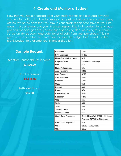#### **4. Create and Monitor a Budget**

Now that you have checked all of your credit reports and disputed any inaccurate information, it is time to create a budget so that you have a plan to pay off the rest of the debt that you saw in your credit report or to save for your life goals. In order to manage your finances responsibly, it is important to set a budget and financial goals for yourself such as paying debt or saving for a home. Set up an IRA account and debit funds directly from your paycheck. This is a great way to save for the future. See the sample budget below and use the blank budget to evaluate your financial situation.

# **Sample Budget:**  Monthly Household Net Income: **\$3,600.00** Total Expenses: **-\$3,515.00** Left-over Funds: **\$85.00**

| Groceries                   | \$400                              |
|-----------------------------|------------------------------------|
| First Mortgage              | \$1200                             |
| Home Owners Insurance       | \$25                               |
| <b>Property Taxes</b>       | Included In Mortgage               |
| Rent                        | N/A                                |
| Renter's Insurance          | N/A                                |
| Auto Payment                | \$300                              |
| Auto Payment                | \$250                              |
| Auto Insurance              | \$200                              |
| Gasoline                    | \$300                              |
| Cable                       | \$50                               |
| Internet                    | \$30                               |
| Phone                       | N/A                                |
| <b>Cellular Phones</b>      | \$200                              |
| Electricity                 | \$200                              |
| Gas                         | N/A                                |
| Water                       | \$60                               |
| Trash                       | \$30                               |
| <b>Student Loans</b>        | N/A                                |
| Personal Loans              | N/A                                |
| <b>Credit Card Payments</b> | Capital One (Bal: \$3000   Minimum |
|                             | Payment \$130) Pay \$200/mon       |
| <b>Credit Card Payments</b> | N/A                                |
| Other                       | Savings (\$100/mon)                |
| Other                       | Other                              |
|                             |                                    |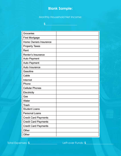## **Blank Sample:**

#### Monthly Household Net Income:

**\$\_\_\_\_\_\_\_\_\_\_\_\_\_\_\_\_\_\_\_\_\_\_\_**

Groceries First Mortgage Home Owners Insurance **Property Taxes** Rent Renter's Insurance Auto Payment Auto Payment Auto Insurance Gasoline Cable Internet Phone **Cellular Phones** Electricity Gas Water Trash **Student Loans** Personal Loans **Credit Card Payments Credit Card Payments** Credit Card Payments Other Other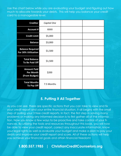Use the chart below while you are evaluating your budget and figuring out how much to allocate towards your debts. This will help you balance your credit card to a manageable level.

| <b>Creditor</b>                                  | Capital One |  |
|--------------------------------------------------|-------------|--|
| <b>Account #</b>                                 | XXXX        |  |
| <b>Credit Limit</b>                              | \$5,000     |  |
| <b>Balance</b>                                   | \$3,000     |  |
| <b>Balance Required</b><br>For 30% Utilization   | \$1,500     |  |
| <b>Total Balance</b><br>To Be Paid Off           | \$1,500     |  |
| <b>Amount Paid</b><br>Per Month<br>(From Budget) | \$200       |  |
| <b>Total Months</b><br>To Pay Off                | 7.5 Months  |  |

## **5. Putting it All Together**

As you can see, there are specific actions that you can take to view and fix your credit report and your entire financial situation. It all begins with the small step of pulling your 3 free credit reports. In fact, the first step in solving many problems or making any informed decision is to first gather all of the information. Now you know a few ways to be proactive and take control of your finances. By utilizing the tools and resources throughout this book, you will now be able to view your credit report, correct any inaccurate information, know your legal rights as well as evaluate your budget and make a plan to pay your debts and improve your credit report and score. All of these actions will help you achieve your financial goals and attain financial freedom!

**1.800.557.1985 | ChristianCreditCounselors.org**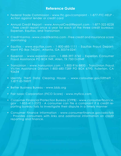#### **Reference Guide**

- Federal Trade Commission www.ftc.gov/complaint 1-877-FTC-HELP Action against lender or credit card
- Annual Credit Report www.AnnualCreditReport.com 1-877-322-8228 - Free credit report once a year for each of the three credit bureaus: Experian, Equifax, and TransUnion
- Credit Karma www.creditkarma.com Free credit and insurance score monitoring
- Equifax www.equifax.com 1-800-685-1111 Equifax Fraud Department PO Box 740241, Atlanta, GA 30374-0241
- Experian www.experian.com 1-888-397-3742 Experian Consumer Fraud Assistance PO BOX 949, Allen, TX 75013-0949
- TransUnion www.transunion.com 1-800-916-8800 TransUnion Fraud Victim Assistance Division 1-800-680-7289 PO BOX 6790, Fullerton, CA 92634
- Identity Theft Data Clearing House www.consumer.gov/idtheft 1-877-ID-THEFT
- Better Business Bureau www.bbb.org
- Fair Isaac Corporation (FICO Score) www.myfico.com
- Consumer Financial Protection Bureau (CFPB) www.consumerfinance. gov - 1-855-411-2372 - A consumer can file a complaint if a credit reporting bureau fails to investigate their dispute in a timely manner
- Consumer Finance Information www.consumerfinance.gov/askcfpb - Provides consumers with links and additional information on credit reporting and finance.